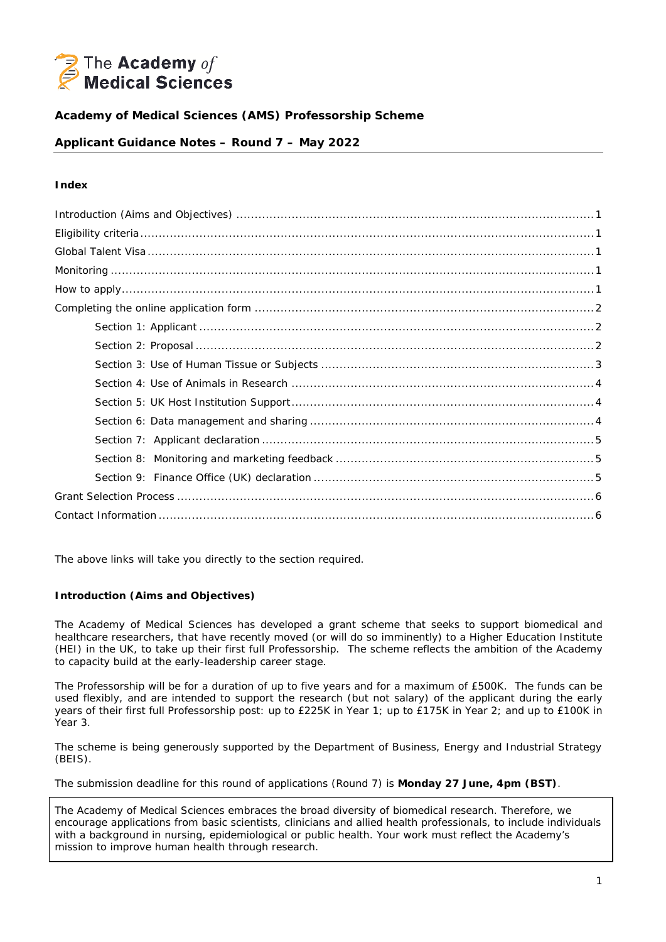

# **Academy of Medical Sciences (AMS) Professorship Scheme**

## **Applicant Guidance Notes – Round 7 – May 2022**

### **Index**

The above links will take you directly to the section required.

### <span id="page-0-0"></span>**Introduction (Aims and Objectives)**

The Academy of Medical Sciences has developed a grant scheme that seeks to support biomedical and healthcare researchers, that have recently moved (or will do so imminently) to a Higher Education Institute (HEI) in the UK, to take up their first full Professorship. The scheme reflects the ambition of the Academy to capacity build at the early-leadership career stage.

The Professorship will be for a duration of up to five years and for a maximum of £500K. The funds can be used flexibly, and are intended to support the research (but not salary) of the applicant during the early years of their first full Professorship post: up to £225K in Year 1; up to £175K in Year 2; and up to £100K in Year 3.

The scheme is being generously supported by the Department of Business, Energy and Industrial Strategy (BEIS).

The submission deadline for this round of applications (Round 7) is **Monday 27 June, 4pm (BST)**.

The Academy of Medical Sciences embraces the broad diversity of biomedical research. Therefore, we encourage applications from basic scientists, clinicians and allied health professionals, to include individuals with a background in nursing, epidemiological or public health. Your work must reflect the Academy's mission to improve human health through research.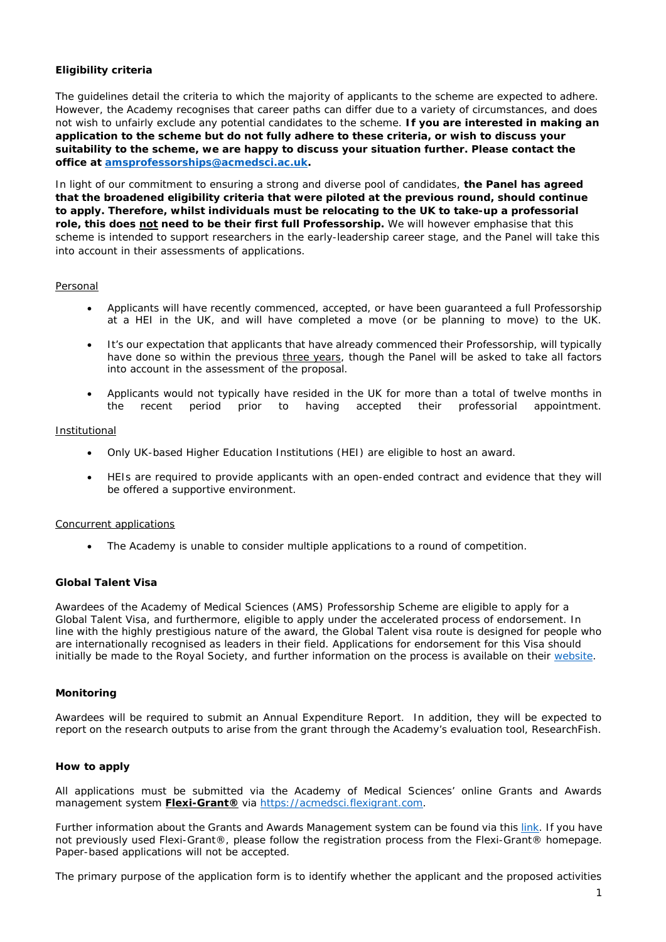## <span id="page-1-0"></span>**Eligibility criteria**

The guidelines detail the criteria to which the majority of applicants to the scheme are expected to adhere. However, the Academy recognises that career paths can differ due to a variety of circumstances, and does not wish to unfairly exclude any potential candidates to the scheme. **If you are interested in making an application to the scheme but do not fully adhere to these criteria, or wish to discuss your suitability to the scheme, we are happy to discuss your situation further. Please contact the office at [amsprofessorships@acmedsci.ac.uk.](mailto:amsprofessorships@acmedsci.ac.uk)**

In light of our commitment to ensuring a strong and diverse pool of candidates, **the Panel has agreed that the broadened eligibility criteria that were piloted at the previous round, should continue to apply. Therefore, whilst individuals must be relocating to the UK to take-up a professorial role, this does not need to be their** *first* **full Professorship.** We will however emphasise that this scheme is intended to support researchers in the early-leadership career stage, and the Panel will take this into account in their assessments of applications.

### Personal

- Applicants will have recently commenced, accepted, or have been guaranteed a full Professorship at a HEI in the UK, and will have completed a move (or be planning to move) to the UK.
- It's our expectation that applicants that have already commenced their Professorship, will typically have done so within the previous three years, though the Panel will be asked to take all factors into account in the assessment of the proposal.
- Applicants would not typically have resided in the UK for more than a total of twelve months in the recent period prior to having accepted their professorial appointment.

#### Institutional

- Only UK-based Higher Education Institutions (HEI) are eligible to host an award.
- HEIs are required to provide applicants with an open-ended contract and evidence that they will be offered a supportive environment.

### Concurrent applications

• The Academy is unable to consider multiple applications to a round of competition.

## <span id="page-1-1"></span>**Global Talent Visa**

Awardees of the Academy of Medical Sciences (AMS) Professorship Scheme are eligible to apply for a Global Talent Visa, and furthermore, eligible to apply under the accelerated process of endorsement. In line with the highly prestigious nature of the award, the Global Talent visa route is designed for people who are internationally recognised as leaders in their field. Applications for endorsement for this Visa should initially be made to the Royal Society, and further information on the process is available on their [website.](https://royalsociety.org/grants-schemes-awards/global-talent-visa/)

#### <span id="page-1-2"></span>**Monitoring**

Awardees will be required to submit an Annual Expenditure Report. In addition, they will be expected to report on the research outputs to arise from the grant through the Academy's evaluation tool, ResearchFish.

## <span id="page-1-3"></span>**How to apply**

All applications must be submitted via the Academy of Medical Sciences' online Grants and Awards management system **[Flexi-Grant®](https://acmedsci.flexigrant.com/tenantfiles/70/documents/Grant%20Management%20User%20guide.pdf)** via [https://acmedsci.flexigrant.com.](https://acmedsci.flexigrant.com/applications.aspx)

Further information about the Grants and Awards Management system can be found via this [link.](https://acmedsci.flexigrant.com/tenantfiles/70/documents/Grant%20Management%20User%20guide.pdf) If you have not previously used Flexi-Grant®, please follow the registration process from the Flexi-Grant® homepage. Paper-based applications will not be accepted.

The primary purpose of the application form is to identify whether the applicant and the proposed activities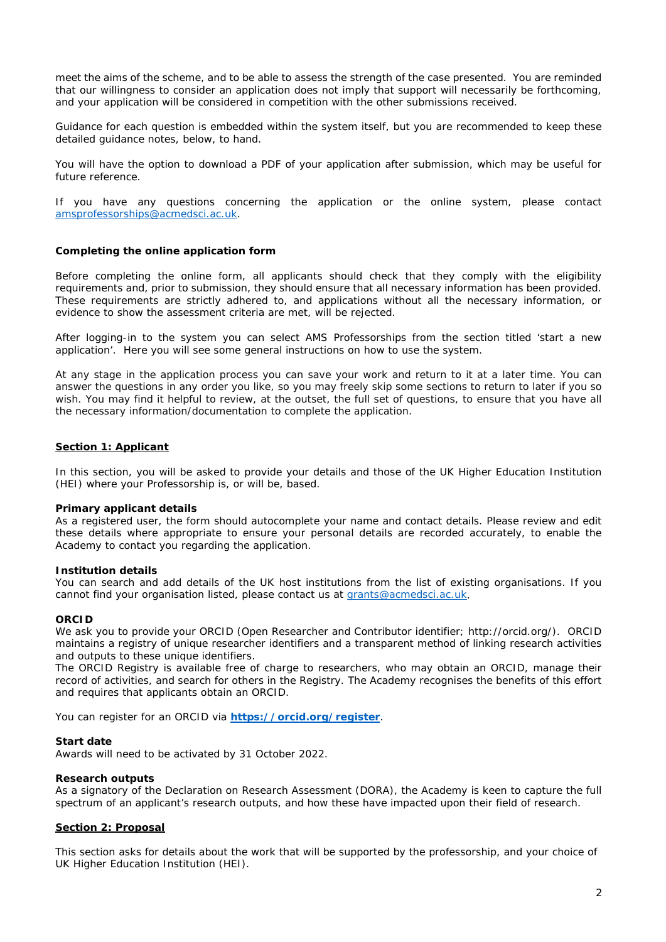meet the aims of the scheme, and to be able to assess the strength of the case presented. You are reminded that our willingness to consider an application does not imply that support will necessarily be forthcoming, and your application will be considered in competition with the other submissions received.

Guidance for each question is embedded within the system itself, but you are recommended to keep these detailed guidance notes, below, to hand.

You will have the option to download a PDF of your application after submission, which may be useful for future reference.

If you have any questions concerning the application or the online system, please contact [amsprofessorships@acmedsci.ac.uk.](mailto:amsprofessorships@acmedsci.ac.uk)

### <span id="page-2-0"></span>**Completing the online application form**

Before completing the online form, all applicants should check that they comply with the eligibility requirements and, prior to submission, they should ensure that all necessary information has been provided. These requirements are strictly adhered to, and applications without all the necessary information, or evidence to show the assessment criteria are met, will be rejected.

After logging-in to the system you can select AMS Professorships from the section titled '*start a new application'*. Here you will see some general instructions on how to use the system.

At any stage in the application process you can save your work and return to it at a later time. You can answer the questions in any order you like, so you may freely skip some sections to return to later if you so wish. You may find it helpful to review, at the outset, the full set of questions, to ensure that you have all the necessary information/documentation to complete the application.

#### <span id="page-2-1"></span>**Section 1: Applicant**

In this section, you will be asked to provide your details and those of the UK Higher Education Institution (HEI) where your Professorship is, or will be, based.

#### **Primary applicant details**

As a registered user, the form should autocomplete your name and contact details. Please review and edit these details where appropriate to ensure your personal details are recorded accurately, to enable the Academy to contact you regarding the application.

#### **Institution details**

You can search and add details of the UK host institutions from the list of existing organisations. If you cannot find your organisation listed, please contact us at [grants@acmedsci.ac.uk.](mailto:grants@acmedsci.ac.uk)

#### **ORCID**

We ask you to provide your ORCID (Open Researcher and Contributor identifier; http://orcid.org/). ORCID maintains a registry of unique researcher identifiers and a transparent method of linking research activities and outputs to these unique identifiers.

The ORCID Registry is available free of charge to researchers, who may obtain an ORCID, manage their record of activities, and search for others in the Registry. The Academy recognises the benefits of this effort and requires that applicants obtain an ORCID.

You can register for an ORCID via **<https://orcid.org/register>**.

#### **Start date**

Awards will need to be activated by 31 October 2022.

#### **Research outputs**

As a signatory of the Declaration on Research Assessment (DORA), the Academy is keen to capture the full spectrum of an applicant's research outputs, and how these have impacted upon their field of research.

### <span id="page-2-2"></span>**Section 2: Proposal**

This section asks for details about the work that will be supported by the professorship, and your choice of UK Higher Education Institution (HEI).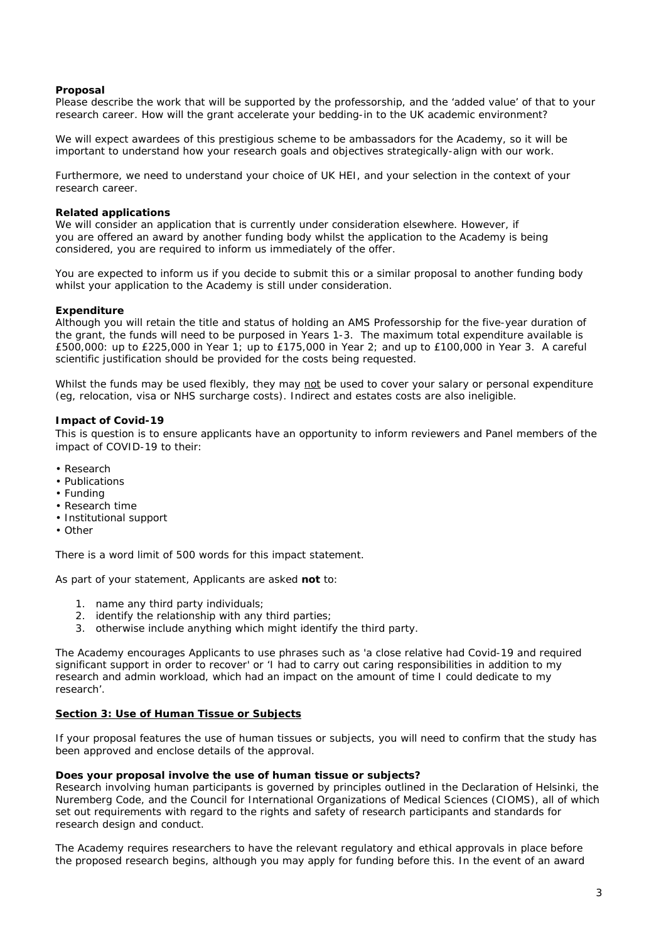### **Proposal**

Please describe the work that will be supported by the professorship, and the 'added value' of that to your research career. How will the grant accelerate your bedding-in to the UK academic environment?

We will expect awardees of this prestigious scheme to be ambassadors for the Academy, so it will be important to understand how your research goals and objectives strategically-align with our work.

Furthermore, we need to understand your choice of UK HEI, and your selection in the context of your research career.

### **Related applications**

We will consider an application that is currently under consideration elsewhere. However, if you are offered an award by another funding body whilst the application to the Academy is being considered, you are required to inform us immediately of the offer.

You are expected to inform us if you decide to submit this or a similar proposal to another funding body whilst your application to the Academy is still under consideration.

### **Expenditure**

Although you will retain the title and status of holding an AMS Professorship for the five-year duration of the grant, the funds will need to be purposed in Years 1-3. The maximum total expenditure available is £500,000: up to £225,000 in Year 1; up to £175,000 in Year 2; and up to £100,000 in Year 3. A careful scientific justification should be provided for the costs being requested.

Whilst the funds may be used flexibly, they may not be used to cover your salary or personal expenditure (eg, relocation, visa or NHS surcharge costs). Indirect and estates costs are also ineligible.

### **Impact of Covid-19**

This is question is to ensure applicants have an opportunity to inform reviewers and Panel members of the impact of COVID-19 to their:

- Research
- Publications
- Funding
- Research time
- Institutional support
- Other

There is a word limit of 500 words for this impact statement.

As part of your statement, Applicants are asked **not** to:

- 1. name any third party individuals;
- 2. identify the relationship with any third parties;
- 3. otherwise include anything which might identify the third party.

The Academy encourages Applicants to use phrases such as 'a close relative had Covid-19 and required significant support in order to recover' or 'I had to carry out caring responsibilities in addition to my research and admin workload, which had an impact on the amount of time I could dedicate to my research'.

## <span id="page-3-0"></span>**Section 3: Use of Human Tissue or Subjects**

If your proposal features the use of human tissues or subjects, you will need to confirm that the study has been approved and enclose details of the approval.

#### **Does your proposal involve the use of human tissue or subjects?**

Research involving human participants is governed by principles outlined in the Declaration of Helsinki, the Nuremberg Code, and the Council for International Organizations of Medical Sciences (CIOMS), all of which set out requirements with regard to the rights and safety of research participants and standards for research design and conduct.

The Academy requires researchers to have the relevant regulatory and ethical approvals in place before the proposed research begins, although you may apply for funding before this. In the event of an award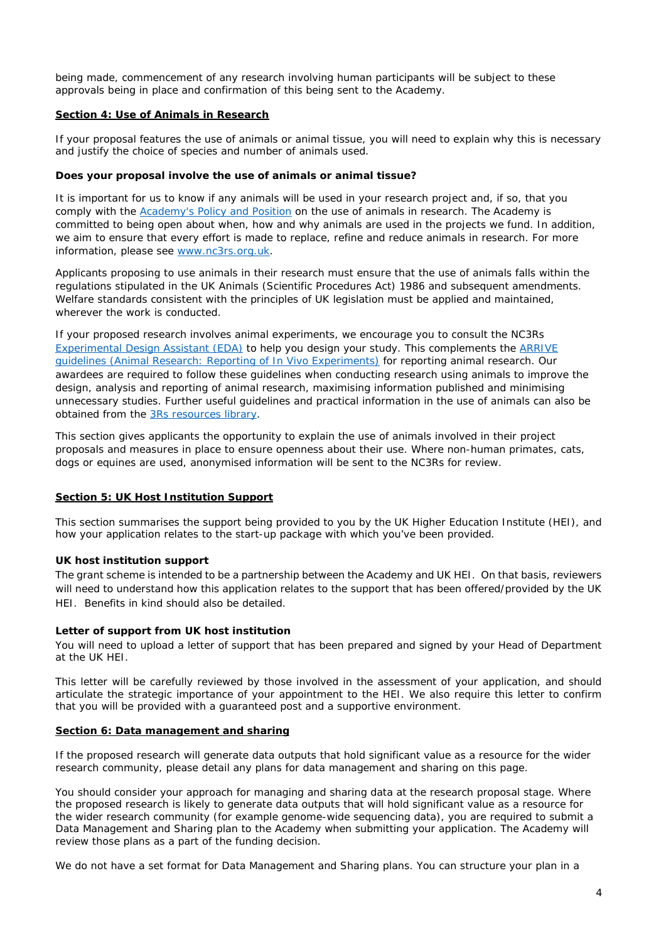being made, commencement of any research involving human participants will be subject to these approvals being in place and confirmation of this being sent to the Academy.

### <span id="page-4-0"></span>**Section 4: Use of Animals in Research**

If your proposal features the use of animals or animal tissue, you will need to explain why this is necessary and justify the choice of species and number of animals used.

### **Does your proposal involve the use of animals or animal tissue?**

It is important for us to know if any animals will be used in your research project and, if so, that you comply with the [Academy's Policy and Position](https://acmedsci.ac.uk/policy/major-policy-strands/using-animals-in-research/statement-on-the-use-of-animals-in-research) on the use of animals in research. The Academy is committed to being open about when, how and why animals are used in the projects we fund. In addition, we aim to ensure that every effort is made to replace, refine and reduce animals in research. For more information, please see [www.nc3rs.org.uk.](http://www.nc3rs.org.uk/)

Applicants proposing to use animals in their research must ensure that the use of animals falls within the regulations stipulated in the UK Animals (Scientific Procedures Act) 1986 and subsequent amendments. Welfare standards consistent with the principles of UK legislation must be applied and maintained. wherever the work is conducted.

If your proposed research involves animal experiments, we encourage you to consult the NC3Rs [Experimental Design Assistant \(EDA\)](https://eda.nc3rs.org.uk/) to help you design your study. This complements the [ARRIVE](https://www.nc3rs.org.uk/arrive-guidelines)  [guidelines \(Animal Research: Reporting of In Vivo Experiments\)](https://www.nc3rs.org.uk/arrive-guidelines) for reporting animal research. Our awardees are required to follow these guidelines when conducting research using animals to improve the design, analysis and reporting of animal research, maximising information published and minimising unnecessary studies. Further useful guidelines and practical information in the use of animals can also be obtained from the [3Rs resources library.](https://www.nc3rs.org.uk/3rs-resources)

This section gives applicants the opportunity to explain the use of animals involved in their project proposals and measures in place to ensure openness about their use. Where non-human primates, cats, dogs or equines are used, anonymised information will be sent to the NC3Rs for review.

## <span id="page-4-1"></span>**Section 5: UK Host Institution Support**

This section summarises the support being provided to you by the UK Higher Education Institute (HEI), and how your application relates to the start-up package with which you've been provided.

### **UK host institution support**

The grant scheme is intended to be a partnership between the Academy and UK HEI. On that basis, reviewers will need to understand how this application relates to the support that has been offered/provided by the UK HEI. Benefits in kind should also be detailed.

## **Letter of support from UK host institution**

You will need to upload a letter of support that has been prepared and signed by your Head of Department at the UK HEI.

This letter will be carefully reviewed by those involved in the assessment of your application, and should articulate the strategic importance of your appointment to the HEI. We also require this letter to confirm that you will be provided with a guaranteed post and a supportive environment.

#### <span id="page-4-2"></span>**Section 6: Data management and sharing**

If the proposed research will generate data outputs that hold significant value as a resource for the wider research community, please detail any plans for data management and sharing on this page.

You should consider your approach for managing and sharing data at the research proposal stage. Where the proposed research is likely to generate data outputs that will hold significant value as a resource for the wider research community (for example genome-wide sequencing data), you are required to submit a Data Management and Sharing plan to the Academy when submitting your application. The Academy will review those plans as a part of the funding decision.

We do not have a set format for Data Management and Sharing plans. You can structure your plan in a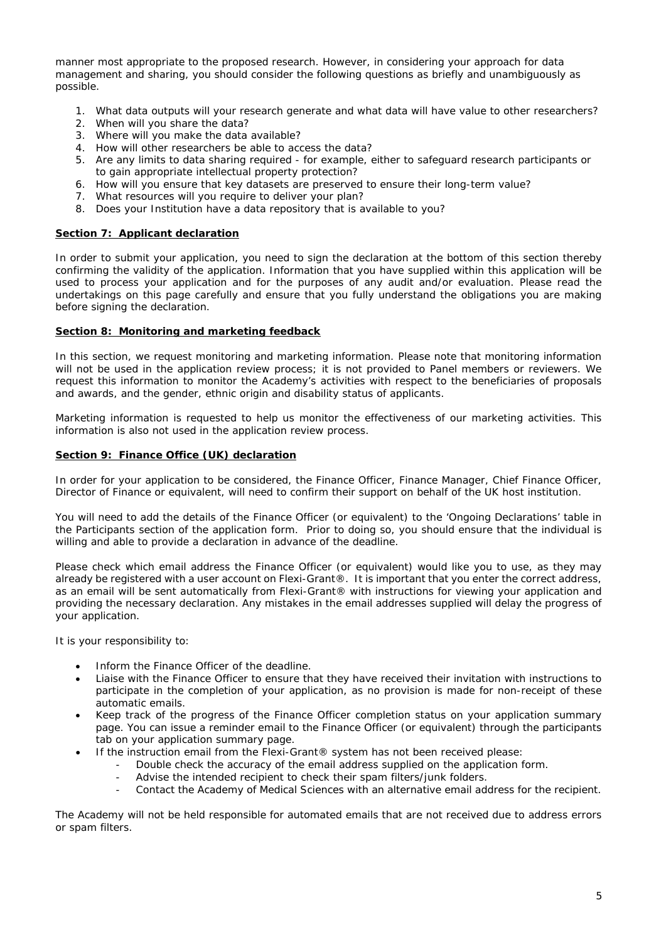manner most appropriate to the proposed research. However, in considering your approach for data management and sharing, you should consider the following questions as briefly and unambiguously as possible.

- 1. What data outputs will your research generate and what data will have value to other researchers?
- 2. When will you share the data?
- 3. Where will you make the data available?
- 4. How will other researchers be able to access the data?
- 5. Are any limits to data sharing required for example, either to safeguard research participants or to gain appropriate intellectual property protection?
- 6. How will you ensure that key datasets are preserved to ensure their long-term value?
- 7. What resources will you require to deliver your plan?
- 8. Does your Institution have a data repository that is available to you?

#### <span id="page-5-0"></span>**Section 7: Applicant declaration**

In order to submit your application, you need to sign the declaration at the bottom of this section thereby confirming the validity of the application. Information that you have supplied within this application will be used to process your application and for the purposes of any audit and/or evaluation. Please read the undertakings on this page carefully and ensure that you fully understand the obligations you are making before signing the declaration.

### <span id="page-5-1"></span>**Section 8: Monitoring and marketing feedback**

In this section, we request monitoring and marketing information. Please note that monitoring information will not be used in the application review process; it is not provided to Panel members or reviewers. We request this information to monitor the Academy's activities with respect to the beneficiaries of proposals and awards, and the gender, ethnic origin and disability status of applicants.

Marketing information is requested to help us monitor the effectiveness of our marketing activities. This information is also not used in the application review process.

### <span id="page-5-2"></span>**Section 9: Finance Office (UK) declaration**

In order for your application to be considered, the Finance Officer, Finance Manager, Chief Finance Officer, Director of Finance or equivalent, will need to confirm their support on behalf of the UK host institution.

You will need to add the details of the Finance Officer (or equivalent) to the 'Ongoing Declarations' table in the Participants section of the application form. Prior to doing so, you should ensure that the individual is willing and able to provide a declaration in advance of the deadline.

Please check which email address the Finance Officer (or equivalent) would like you to use, as they may already be registered with a user account on Flexi-Grant®. It is important that you enter the correct address, as an email will be sent automatically from Flexi-Grant® with instructions for viewing your application and providing the necessary declaration. Any mistakes in the email addresses supplied will delay the progress of your application.

It is your responsibility to:

- Inform the Finance Officer of the deadline.
- Liaise with the Finance Officer to ensure that they have received their invitation with instructions to participate in the completion of your application, as no provision is made for non-receipt of these automatic emails.
- Keep track of the progress of the Finance Officer completion status on your application summary page. You can issue a reminder email to the Finance Officer (or equivalent) through the participants tab on your application summary page.
- If the instruction email from the Flexi-Grant® system has not been received please:
	- Double check the accuracy of the email address supplied on the application form.
	- Advise the intended recipient to check their spam filters/junk folders.
	- Contact the Academy of Medical Sciences with an alternative email address for the recipient.

The Academy will not be held responsible for automated emails that are not received due to address errors or spam filters.